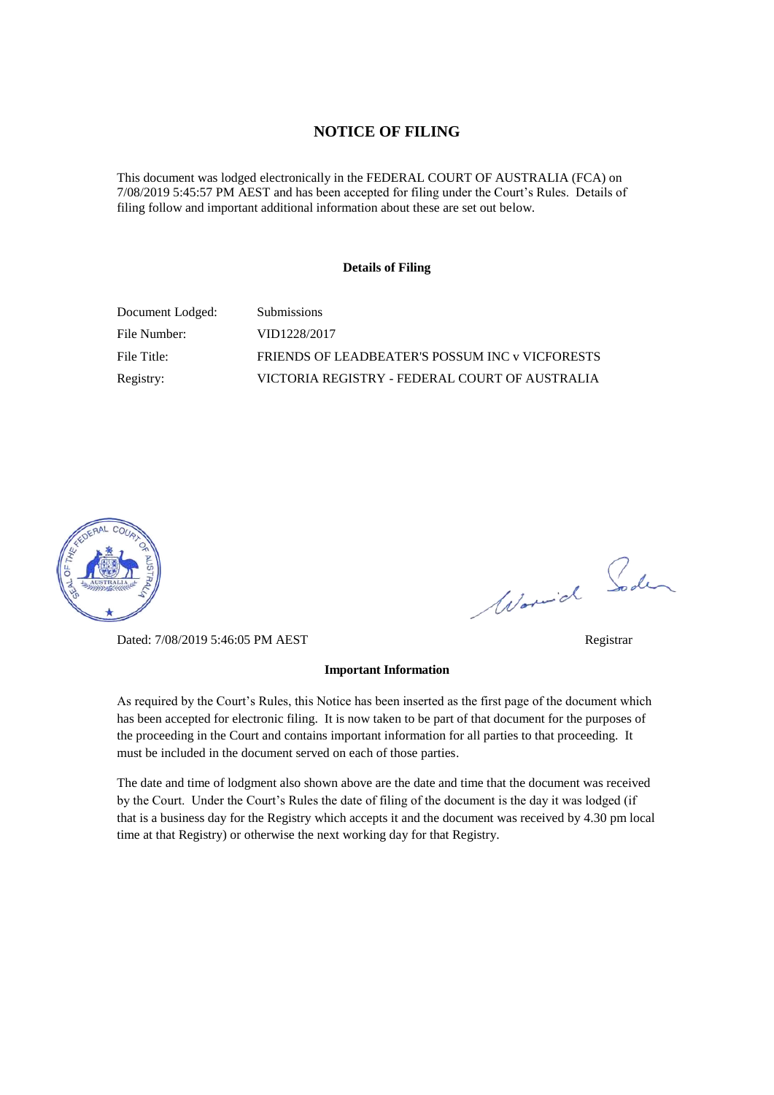#### **NOTICE OF FILING**

This document was lodged electronically in the FEDERAL COURT OF AUSTRALIA (FCA) on 7/08/2019 5:45:57 PM AEST and has been accepted for filing under the Court's Rules. Details of filing follow and important additional information about these are set out below.

#### **Details of Filing**

| Document Lodged: | <b>Submissions</b>                              |
|------------------|-------------------------------------------------|
| File Number:     | VID1228/2017                                    |
| File Title:      | FRIENDS OF LEADBEATER'S POSSUM INC v VICFORESTS |
| Registry:        | VICTORIA REGISTRY - FEDERAL COURT OF AUSTRALIA  |



Dated: 7/08/2019 5:46:05 PM AEST Registrar

#### **Important Information**

As required by the Court's Rules, this Notice has been inserted as the first page of the document which has been accepted for electronic filing. It is now taken to be part of that document for the purposes of the proceeding in the Court and contains important information for all parties to that proceeding. It must be included in the document served on each of those parties.

The date and time of lodgment also shown above are the date and time that the document was received by the Court. Under the Court's Rules the date of filing of the document is the day it was lodged (if that is a business day for the Registry which accepts it and the document was received by 4.30 pm local time at that Registry) or otherwise the next working day for that Registry.

Worwich Soden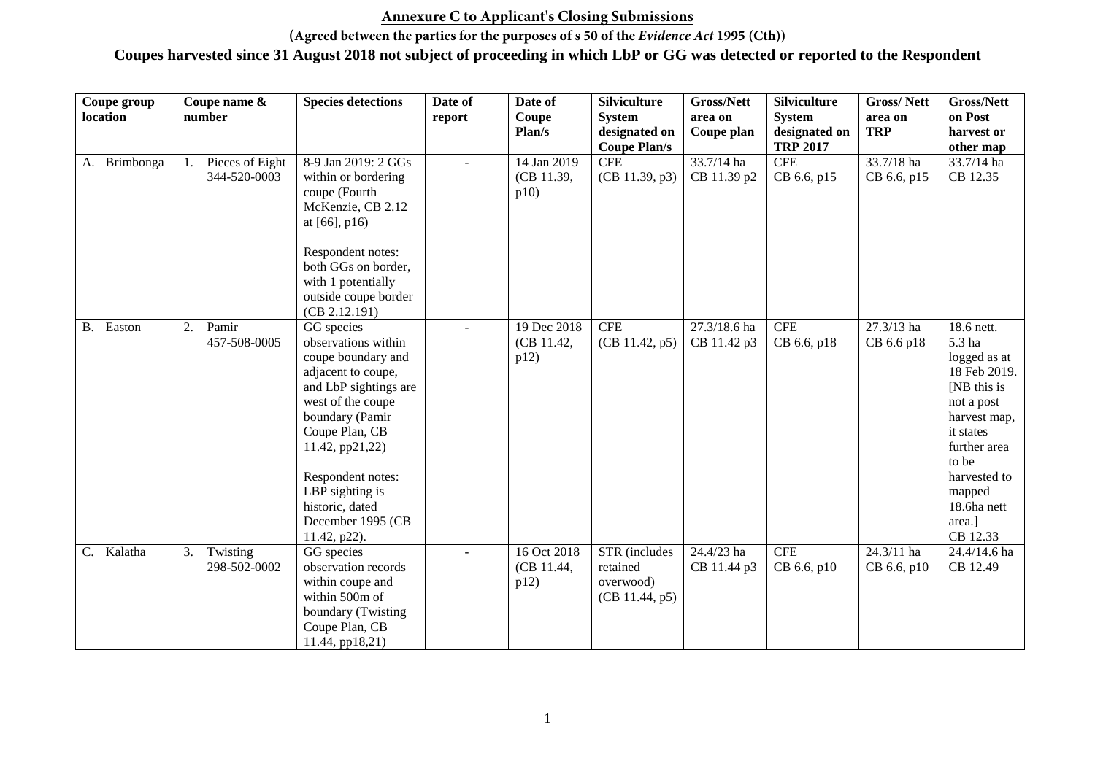#### **Annexure C to Applicant's Closing Submissions**

**(Agreed between the parties for the purposes of s 50 of the** *Evidence Act* **1995 (Cth))**

| Coupe group   | Coupe name &                          | <b>Species detections</b>                                                                                                                                                                                                                                                           | Date of      | Date of                           | <b>Silviculture</b>                                      | Gross/Nett                         | <b>Silviculture</b>                               | <b>Gross/Nett</b>           | <b>Gross/Nett</b>                                                                                                                                                                                      |
|---------------|---------------------------------------|-------------------------------------------------------------------------------------------------------------------------------------------------------------------------------------------------------------------------------------------------------------------------------------|--------------|-----------------------------------|----------------------------------------------------------|------------------------------------|---------------------------------------------------|-----------------------------|--------------------------------------------------------------------------------------------------------------------------------------------------------------------------------------------------------|
| location      | number                                |                                                                                                                                                                                                                                                                                     | report       | Coupe<br>Plan/s                   | <b>System</b><br>designated on<br><b>Coupe Plan/s</b>    | area on<br>Coupe plan              | <b>System</b><br>designated on<br><b>TRP 2017</b> | area on<br><b>TRP</b>       | on Post<br>harvest or<br>other map                                                                                                                                                                     |
| A. Brimbonga  | Pieces of Eight<br>1.<br>344-520-0003 | 8-9 Jan 2019: 2 GGs<br>within or bordering<br>coupe (Fourth<br>McKenzie, CB 2.12<br>at $[66]$ , p16)                                                                                                                                                                                | $\sim$       | 14 Jan 2019<br>(CB 11.39,<br>p10) | <b>CFE</b><br>(CB 11.39, p3)                             | $\sqrt{33.7/14}$ ha<br>CB 11.39 p2 | <b>CFE</b><br>CB 6.6, p15                         | 33.7/18 ha<br>CB 6.6, p15   | 33.7/14 ha<br>CB 12.35                                                                                                                                                                                 |
|               |                                       | Respondent notes:<br>both GGs on border,<br>with 1 potentially<br>outside coupe border<br>(CB 2.12.191)                                                                                                                                                                             |              |                                   |                                                          |                                    |                                                   |                             |                                                                                                                                                                                                        |
| Easton<br>В.  | 2.<br>Pamir<br>457-508-0005           | GG species<br>observations within<br>coupe boundary and<br>adjacent to coupe,<br>and LbP sightings are<br>west of the coupe<br>boundary (Pamir<br>Coupe Plan, CB<br>11.42, pp21,22)<br>Respondent notes:<br>LBP sighting is<br>historic, dated<br>December 1995 (CB<br>11.42, p22). | $\sim$       | 19 Dec 2018<br>(CB 11.42,<br>p12) | <b>CFE</b><br>(CB 11.42, p5)                             | 27.3/18.6 ha<br>CB 11.42 p3        | <b>CFE</b><br>CB 6.6, p18                         | $27.3/13$ ha<br>CB 6.6 p18  | 18.6 nett.<br>5.3 ha<br>logged as at<br>18 Feb 2019.<br>[NB this is<br>not a post<br>harvest map,<br>it states<br>further area<br>to be<br>harvested to<br>mapped<br>18.6ha nett<br>area.]<br>CB 12.33 |
| Kalatha<br>C. | Twisting<br>3.<br>298-502-0002        | GG species<br>observation records<br>within coupe and<br>within 500m of<br>boundary (Twisting<br>Coupe Plan, CB<br>11.44, pp18,21)                                                                                                                                                  | $\mathbf{r}$ | 16 Oct 2018<br>(CB 11.44,<br>p12) | STR (includes<br>retained<br>overwood)<br>(CB 11.44, p5) | 24.4/23 ha<br>CB 11.44 p3          | <b>CFE</b><br>CB 6.6, p10                         | $24.3/11$ ha<br>CB 6.6, p10 | 24.4/14.6 ha<br>CB 12.49                                                                                                                                                                               |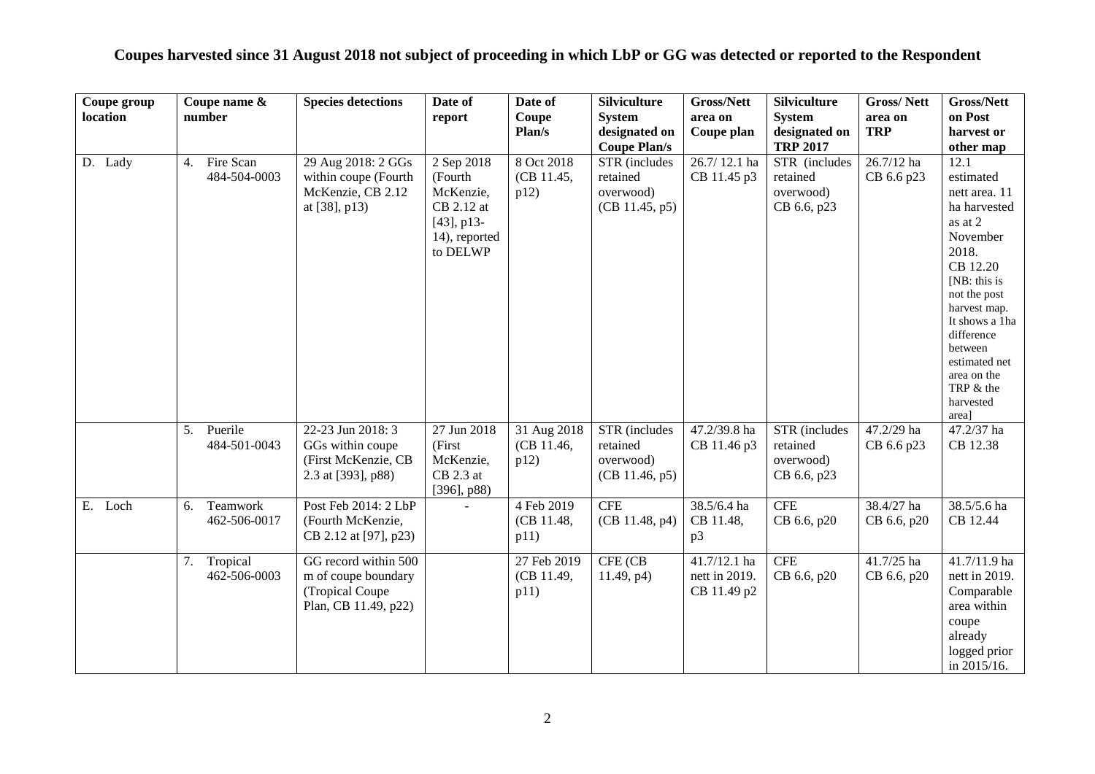| Coupe group | Coupe name &    |              | <b>Species detections</b> | Date of        | Date of     | <b>Silviculture</b> | <b>Gross/Nett</b> | <b>Silviculture</b> | <b>Gross/Nett</b> | <b>Gross/Nett</b>            |
|-------------|-----------------|--------------|---------------------------|----------------|-------------|---------------------|-------------------|---------------------|-------------------|------------------------------|
| location    | number          |              |                           | report         | Coupe       | <b>System</b>       | area on           | <b>System</b>       | area on           | on Post                      |
|             |                 |              |                           |                | Plan/s      | designated on       | Coupe plan        | designated on       | <b>TRP</b>        | harvest or                   |
|             |                 |              |                           |                |             | <b>Coupe Plan/s</b> |                   | <b>TRP 2017</b>     |                   | other map                    |
| D. Lady     | Fire Scan<br>4. |              | 29 Aug 2018: 2 GGs        | 2 Sep 2018     | 8 Oct 2018  | STR (includes       | 26.7/12.1 ha      | STR (includes       | $26.7/12$ ha      | 12.1                         |
|             |                 | 484-504-0003 | within coupe (Fourth      | (Fourth        | (CB 11.45,  | retained            | CB 11.45 p3       | retained            | CB 6.6 p23        | estimated                    |
|             |                 |              | McKenzie, CB 2.12         | McKenzie,      | p12)        | overwood)           |                   | overwood)           |                   | nett area. 11                |
|             |                 |              | at $[38]$ , p13)          | CB 2.12 at     |             | (CB 11.45, p5)      |                   | CB 6.6, p23         |                   | ha harvested                 |
|             |                 |              |                           | $[43]$ , p13-  |             |                     |                   |                     |                   | as at 2                      |
|             |                 |              |                           | 14), reported  |             |                     |                   |                     |                   | November                     |
|             |                 |              |                           | to DELWP       |             |                     |                   |                     |                   | 2018.                        |
|             |                 |              |                           |                |             |                     |                   |                     |                   | CB 12.20                     |
|             |                 |              |                           |                |             |                     |                   |                     |                   | [NB: this is                 |
|             |                 |              |                           |                |             |                     |                   |                     |                   | not the post<br>harvest map. |
|             |                 |              |                           |                |             |                     |                   |                     |                   | It shows a 1ha               |
|             |                 |              |                           |                |             |                     |                   |                     |                   | difference                   |
|             |                 |              |                           |                |             |                     |                   |                     |                   | between                      |
|             |                 |              |                           |                |             |                     |                   |                     |                   | estimated net                |
|             |                 |              |                           |                |             |                     |                   |                     |                   | area on the                  |
|             |                 |              |                           |                |             |                     |                   |                     |                   | TRP & the                    |
|             |                 |              |                           |                |             |                     |                   |                     |                   | harvested                    |
|             | Puerile<br>5.   |              | 22-23 Jun 2018: 3         | 27 Jun 2018    | 31 Aug 2018 | STR (includes       | 47.2/39.8 ha      | STR (includes       | 47.2/29 ha        | area]<br>47.2/37 ha          |
|             |                 | 484-501-0043 | GGs within coupe          | (First         | (CB 11.46,  | retained            | CB 11.46 p3       | retained            | CB 6.6 p23        | CB 12.38                     |
|             |                 |              | (First McKenzie, CB       | McKenzie,      | p12)        | overwood)           |                   | overwood)           |                   |                              |
|             |                 |              | 2.3 at [393], p88)        | $CB$ 2.3 at    |             | (CB 11.46, p5)      |                   | CB 6.6, p23         |                   |                              |
|             |                 |              |                           | $[396]$ , p88) |             |                     |                   |                     |                   |                              |
| E. Loch     | Teamwork<br>6.  |              | Post Feb 2014: 2 LbP      |                | 4 Feb 2019  | <b>CFE</b>          | 38.5/6.4 ha       | <b>CFE</b>          | 38.4/27 ha        | 38.5/5.6 ha                  |
|             |                 | 462-506-0017 | (Fourth McKenzie,         |                | (CB 11.48,  | (CB 11.48, p4)      | CB 11.48,         | CB 6.6, p20         | CB 6.6, p20       | CB 12.44                     |
|             |                 |              | CB 2.12 at [97], p23)     |                | p11)        |                     | p3                |                     |                   |                              |
|             |                 |              |                           |                |             |                     |                   |                     |                   |                              |
|             | Tropical<br>7.  |              | GG record within 500      |                | 27 Feb 2019 | CFE (CB             | 41.7/12.1 ha      | <b>CFE</b>          | 41.7/25 ha        | 41.7/11.9 ha                 |
|             |                 | 462-506-0003 | m of coupe boundary       |                | (CB 11.49,  | 11.49, p4)          | nett in 2019.     | CB 6.6, p20         | CB 6.6, p20       | nett in 2019.                |
|             |                 |              | (Tropical Coupe           |                | p11)        |                     | CB 11.49 p2       |                     |                   | Comparable                   |
|             |                 |              | Plan, CB 11.49, p22)      |                |             |                     |                   |                     |                   | area within                  |
|             |                 |              |                           |                |             |                     |                   |                     |                   | coupe                        |
|             |                 |              |                           |                |             |                     |                   |                     |                   | already                      |
|             |                 |              |                           |                |             |                     |                   |                     |                   | logged prior                 |
|             |                 |              |                           |                |             |                     |                   |                     |                   | in 2015/16.                  |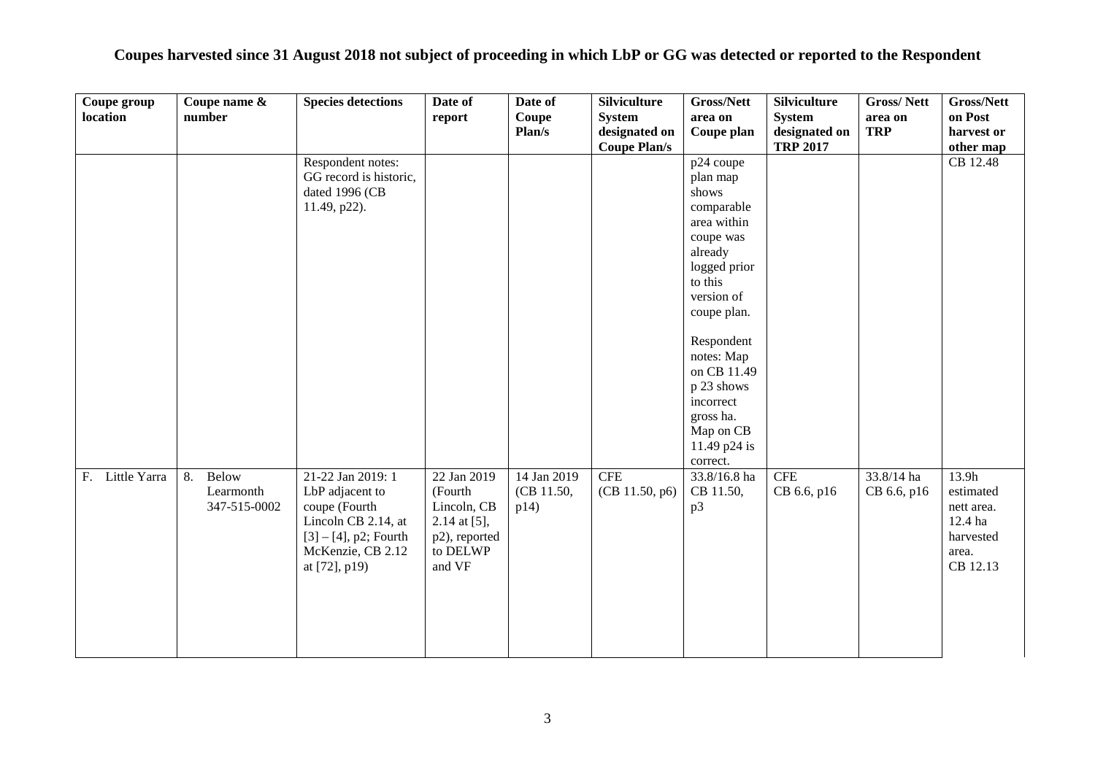| Coupes harvested since 31 August 2018 not subject of proceeding in which LbP or GG was detected or reported to the Respondent |  |  |  |  |  |  |  |  |  |
|-------------------------------------------------------------------------------------------------------------------------------|--|--|--|--|--|--|--|--|--|
|-------------------------------------------------------------------------------------------------------------------------------|--|--|--|--|--|--|--|--|--|

| Coupe group     | Coupe name & | <b>Species detections</b>                     | Date of                   | Date of     | <b>Silviculture</b> | <b>Gross/Nett</b> | <b>Silviculture</b> | <b>Gross/Nett</b> | Gross/Nett            |
|-----------------|--------------|-----------------------------------------------|---------------------------|-------------|---------------------|-------------------|---------------------|-------------------|-----------------------|
| location        | number       |                                               | report                    | Coupe       | <b>System</b>       | area on           | System              | area on           | on Post               |
|                 |              |                                               |                           | Plan/s      | designated on       | Coupe plan        | designated on       | <b>TRP</b>        | harvest or            |
|                 |              |                                               |                           |             | <b>Coupe Plan/s</b> |                   | <b>TRP 2017</b>     |                   | other map             |
|                 |              | Respondent notes:                             |                           |             |                     | p24 coupe         |                     |                   | CB 12.48              |
|                 |              | GG record is historic,                        |                           |             |                     | plan map          |                     |                   |                       |
|                 |              | dated 1996 (CB                                |                           |             |                     | shows             |                     |                   |                       |
|                 |              | 11.49, p22).                                  |                           |             |                     | comparable        |                     |                   |                       |
|                 |              |                                               |                           |             |                     | area within       |                     |                   |                       |
|                 |              |                                               |                           |             |                     | coupe was         |                     |                   |                       |
|                 |              |                                               |                           |             |                     | already           |                     |                   |                       |
|                 |              |                                               |                           |             |                     | logged prior      |                     |                   |                       |
|                 |              |                                               |                           |             |                     | to this           |                     |                   |                       |
|                 |              |                                               |                           |             |                     | version of        |                     |                   |                       |
|                 |              |                                               |                           |             |                     | coupe plan.       |                     |                   |                       |
|                 |              |                                               |                           |             |                     | Respondent        |                     |                   |                       |
|                 |              |                                               |                           |             |                     | notes: Map        |                     |                   |                       |
|                 |              |                                               |                           |             |                     | on CB 11.49       |                     |                   |                       |
|                 |              |                                               |                           |             |                     | p 23 shows        |                     |                   |                       |
|                 |              |                                               |                           |             |                     | incorrect         |                     |                   |                       |
|                 |              |                                               |                           |             |                     | gross ha.         |                     |                   |                       |
|                 |              |                                               |                           |             |                     | Map on CB         |                     |                   |                       |
|                 |              |                                               |                           |             |                     | 11.49 p24 is      |                     |                   |                       |
|                 |              |                                               |                           |             |                     | correct.          |                     |                   |                       |
| F. Little Yarra | Below<br>8.  | 21-22 Jan 2019: 1                             | 22 Jan 2019               | 14 Jan 2019 | <b>CFE</b>          | 33.8/16.8 ha      | <b>CFE</b>          | 33.8/14 ha        | 13.9h                 |
|                 | Learmonth    | LbP adjacent to                               | (Fourth                   | (CB 11.50,  | (CB 11.50, p6)      | CB 11.50,         | CB 6.6, p16         | CB 6.6, p16       | estimated             |
|                 | 347-515-0002 | coupe (Fourth                                 | Lincoln, CB               | p14)        |                     | p3                |                     |                   | nett area.<br>12.4 ha |
|                 |              | Lincoln CB 2.14, at                           | 2.14 at $[5]$ ,           |             |                     |                   |                     |                   | harvested             |
|                 |              | $[3] - [4]$ , p2; Fourth<br>McKenzie, CB 2.12 | p2), reported<br>to DELWP |             |                     |                   |                     |                   | area.                 |
|                 |              | at $[72]$ , p19)                              | and VF                    |             |                     |                   |                     |                   | CB 12.13              |
|                 |              |                                               |                           |             |                     |                   |                     |                   |                       |
|                 |              |                                               |                           |             |                     |                   |                     |                   |                       |
|                 |              |                                               |                           |             |                     |                   |                     |                   |                       |
|                 |              |                                               |                           |             |                     |                   |                     |                   |                       |
|                 |              |                                               |                           |             |                     |                   |                     |                   |                       |
|                 |              |                                               |                           |             |                     |                   |                     |                   |                       |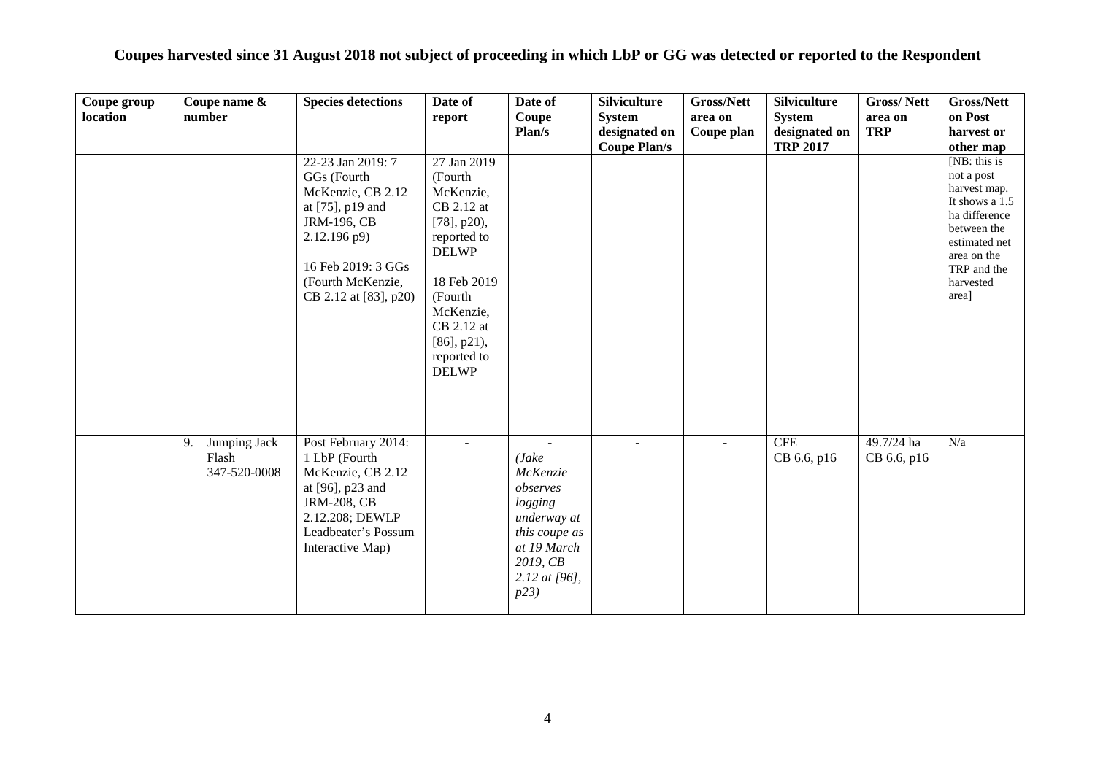| Coupes harvested since 31 August 2018 not subject of proceeding in which LbP or GG was detected or reported to the Respondent |  |  |  |  |  |  |  |
|-------------------------------------------------------------------------------------------------------------------------------|--|--|--|--|--|--|--|
|-------------------------------------------------------------------------------------------------------------------------------|--|--|--|--|--|--|--|

| Coupe group<br>location | Coupe name &<br>number                      | <b>Species detections</b><br>22-23 Jan 2019: 7<br>GGs (Fourth<br>McKenzie, CB 2.12<br>at [75], p19 and<br>JRM-196, CB<br>2.12.196 p9)<br>16 Feb 2019: 3 GGs<br>(Fourth McKenzie,<br>CB 2.12 at [83], p20) | Date of<br>report<br>27 Jan 2019<br>(Fourth<br>McKenzie,<br>CB 2.12 at<br>$[78]$ , p20),<br>reported to<br><b>DELWP</b><br>18 Feb 2019<br>(Fourth<br>McKenzie,<br>CB 2.12 at<br>$[86]$ , p21),<br>reported to<br><b>DELWP</b> | Date of<br>Coupe<br>Plan/s                                                                                                      | <b>Silviculture</b><br><b>System</b><br>designated on<br><b>Coupe Plan/s</b> | Gross/Nett<br>area on<br>Coupe plan | <b>Silviculture</b><br><b>System</b><br>designated on<br><b>TRP 2017</b> | <b>Gross/Nett</b><br>area on<br><b>TRP</b> | Gross/Nett<br>on Post<br>harvest or<br>other map<br>[ $NB:$ this is<br>not a post<br>harvest map.<br>It shows a 1.5<br>ha difference<br>between the<br>estimated net<br>area on the<br>TRP and the<br>harvested<br>area] |
|-------------------------|---------------------------------------------|-----------------------------------------------------------------------------------------------------------------------------------------------------------------------------------------------------------|-------------------------------------------------------------------------------------------------------------------------------------------------------------------------------------------------------------------------------|---------------------------------------------------------------------------------------------------------------------------------|------------------------------------------------------------------------------|-------------------------------------|--------------------------------------------------------------------------|--------------------------------------------|--------------------------------------------------------------------------------------------------------------------------------------------------------------------------------------------------------------------------|
|                         | Jumping Jack<br>9.<br>Flash<br>347-520-0008 | Post February 2014:<br>1 LbP (Fourth<br>McKenzie, CB 2.12<br>at [96], p23 and<br><b>JRM-208, CB</b><br>2.12.208; DEWLP<br>Leadbeater's Possum<br>Interactive Map)                                         | $\sim$                                                                                                                                                                                                                        | (Jake<br>McKenzie<br>observes<br>logging<br>underway at<br>this coupe as<br>at 19 March<br>2019, CB<br>2.12 at $[96]$ ,<br>p23) |                                                                              | $\sim$                              | <b>CFE</b><br>CB 6.6, p16                                                | 49.7/24 ha<br>CB 6.6, p16                  | N/a                                                                                                                                                                                                                      |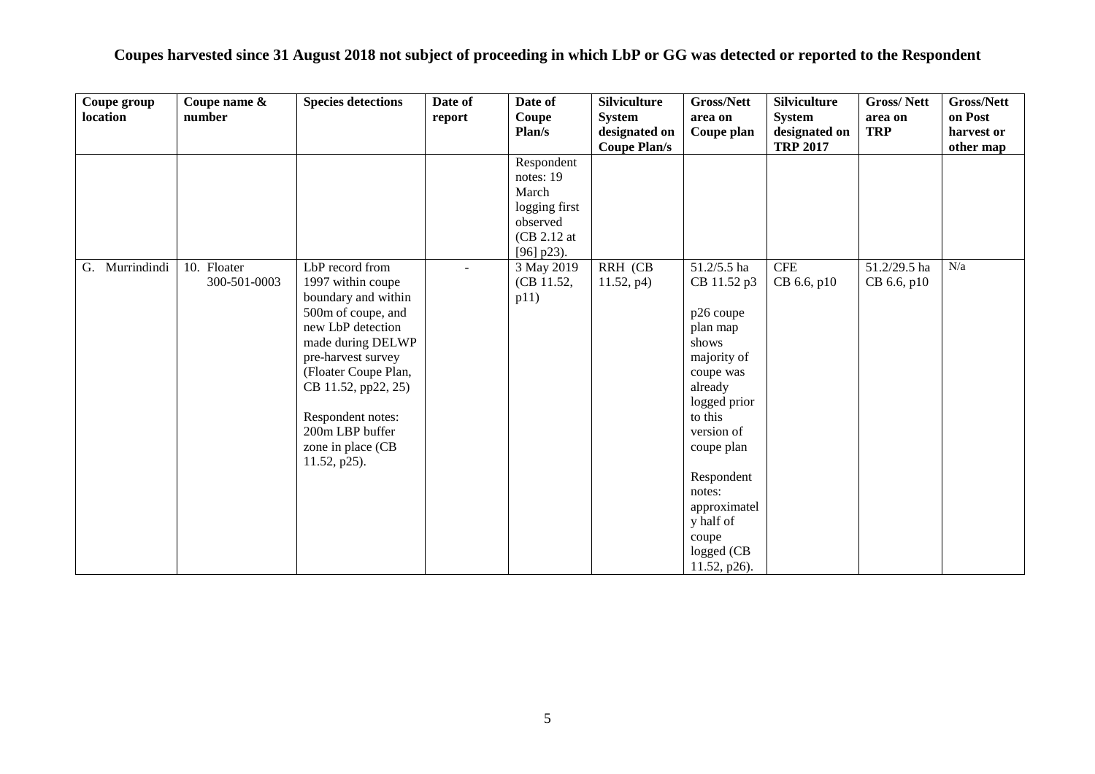| Coupe group<br>location | Coupe name &<br>number      | <b>Species detections</b>                                                                                                                                                                                                                                                     | Date of<br>report | Date of<br>Coupe<br>Plan/s                                                                   | <b>Silviculture</b><br><b>System</b><br>designated on<br><b>Coupe Plan/s</b> | <b>Gross/Nett</b><br>area on<br>Coupe plan                                                                                                                                                                                                             | <b>Silviculture</b><br><b>System</b><br>designated on<br><b>TRP 2017</b> | <b>Gross/Nett</b><br>area on<br><b>TRP</b> | <b>Gross/Nett</b><br>on Post<br>harvest or<br>other map |
|-------------------------|-----------------------------|-------------------------------------------------------------------------------------------------------------------------------------------------------------------------------------------------------------------------------------------------------------------------------|-------------------|----------------------------------------------------------------------------------------------|------------------------------------------------------------------------------|--------------------------------------------------------------------------------------------------------------------------------------------------------------------------------------------------------------------------------------------------------|--------------------------------------------------------------------------|--------------------------------------------|---------------------------------------------------------|
|                         |                             |                                                                                                                                                                                                                                                                               |                   | Respondent<br>notes: 19<br>March<br>logging first<br>observed<br>(CB 2.12 at<br>$[96]$ p23). |                                                                              |                                                                                                                                                                                                                                                        |                                                                          |                                            |                                                         |
| Murrindindi<br>G.       | 10. Floater<br>300-501-0003 | LbP record from<br>1997 within coupe<br>boundary and within<br>500m of coupe, and<br>new LbP detection<br>made during DELWP<br>pre-harvest survey<br>(Floater Coupe Plan,<br>CB 11.52, pp22, 25)<br>Respondent notes:<br>200m LBP buffer<br>zone in place (CB<br>11.52, p25). |                   | 3 May 2019<br>(CB 11.52,<br>p11)                                                             | RRH (CB<br>11.52, p4)                                                        | 51.2/5.5 ha<br>CB 11.52 p3<br>p26 coupe<br>plan map<br>shows<br>majority of<br>coupe was<br>already<br>logged prior<br>to this<br>version of<br>coupe plan<br>Respondent<br>notes:<br>approximatel<br>y half of<br>coupe<br>logged (CB<br>11.52, p26). | ${\rm CFE}$<br>CB 6.6, p10                                               | 51.2/29.5 ha<br>CB 6.6, p10                | N/a                                                     |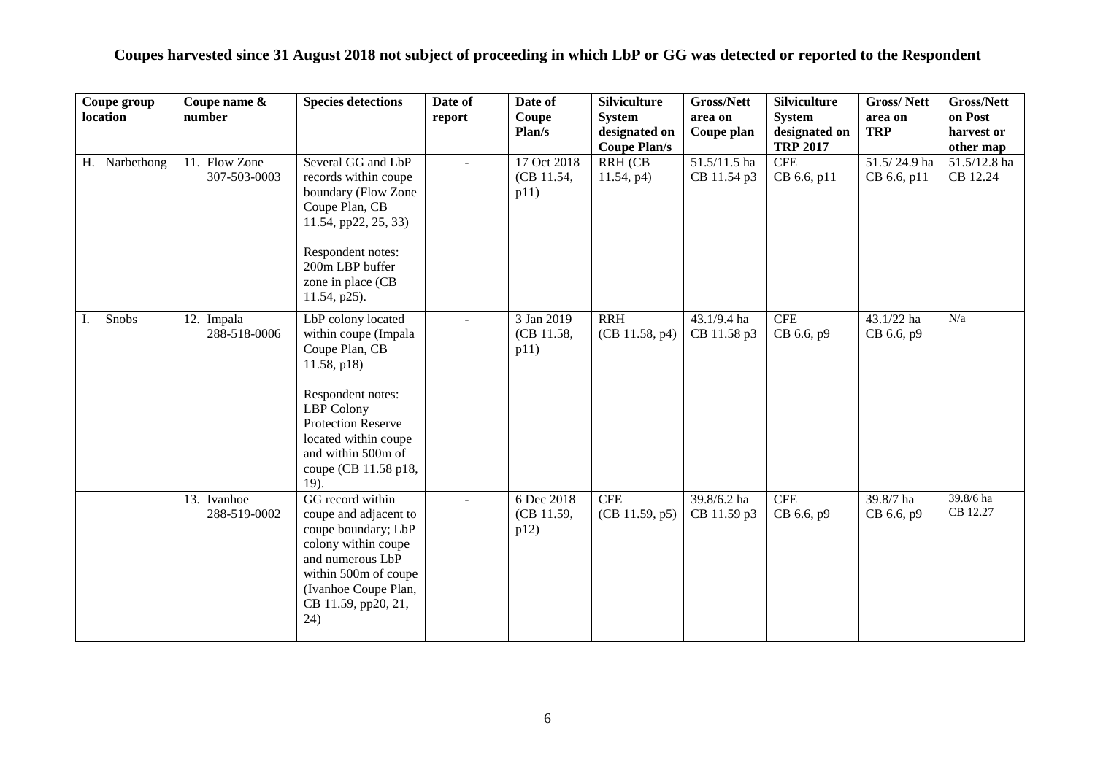| Coupe group   | Coupe name &                  | <b>Species detections</b>                                                                                                                                                                 | Date of                     | Date of                           | <b>Silviculture</b>          | <b>Gross/Nett</b>           | <b>Silviculture</b>       | <b>Gross/Nett</b>           | <b>Gross/Nett</b>          |
|---------------|-------------------------------|-------------------------------------------------------------------------------------------------------------------------------------------------------------------------------------------|-----------------------------|-----------------------------------|------------------------------|-----------------------------|---------------------------|-----------------------------|----------------------------|
| location      | number                        |                                                                                                                                                                                           | report                      | Coupe                             | <b>System</b>                | area on                     | <b>System</b>             | area on                     | on Post                    |
|               |                               |                                                                                                                                                                                           |                             | Plan/s                            | designated on                | Coupe plan                  | designated on             | <b>TRP</b>                  | harvest or                 |
|               |                               |                                                                                                                                                                                           |                             |                                   | <b>Coupe Plan/s</b>          |                             | <b>TRP 2017</b>           |                             | other map                  |
| H. Narbethong | 11. Flow Zone<br>307-503-0003 | Several GG and LbP<br>records within coupe<br>boundary (Flow Zone<br>Coupe Plan, CB<br>11.54, pp22, 25, 33)<br>Respondent notes:<br>200m LBP buffer<br>zone in place (CB                  | $\mathcal{L}^{\mathcal{A}}$ | 17 Oct 2018<br>(CB 11.54,<br>p11) | RRH (CB<br>11.54, p4)        | 51.5/11.5 ha<br>CB 11.54 p3 | <b>CFE</b><br>CB 6.6, p11 | 51.5/24.9 ha<br>CB 6.6, p11 | $51.5/12.8$ ha<br>CB 12.24 |
| Snobs<br>I.   | 12. Impala<br>288-518-0006    | 11.54, p25).<br>LbP colony located<br>within coupe (Impala<br>Coupe Plan, CB<br>11.58, p18)                                                                                               |                             | 3 Jan 2019<br>(CB 11.58,<br>p11)  | <b>RRH</b><br>(CB 11.58, p4) | 43.1/9.4 ha<br>CB 11.58 p3  | <b>CFE</b><br>CB 6.6, p9  | 43.1/22 ha<br>CB 6.6, p9    | N/a                        |
|               |                               | Respondent notes:<br>LBP Colony<br><b>Protection Reserve</b><br>located within coupe<br>and within 500m of<br>coupe (CB 11.58 p18,<br>19).                                                |                             |                                   |                              |                             |                           |                             |                            |
|               | 13. Ivanhoe<br>288-519-0002   | GG record within<br>coupe and adjacent to<br>coupe boundary; LbP<br>colony within coupe<br>and numerous LbP<br>within 500m of coupe<br>(Ivanhoe Coupe Plan,<br>CB 11.59, pp20, 21,<br>24) | $\mathbf{r}$                | 6 Dec 2018<br>(CB 11.59,<br>p12)  | $\rm CFE$<br>(CB 11.59, p5)  | 39.8/6.2 ha<br>CB 11.59 p3  | <b>CFE</b><br>CB 6.6, p9  | 39.8/7 ha<br>CB 6.6, p9     | 39.8/6 ha<br>CB 12.27      |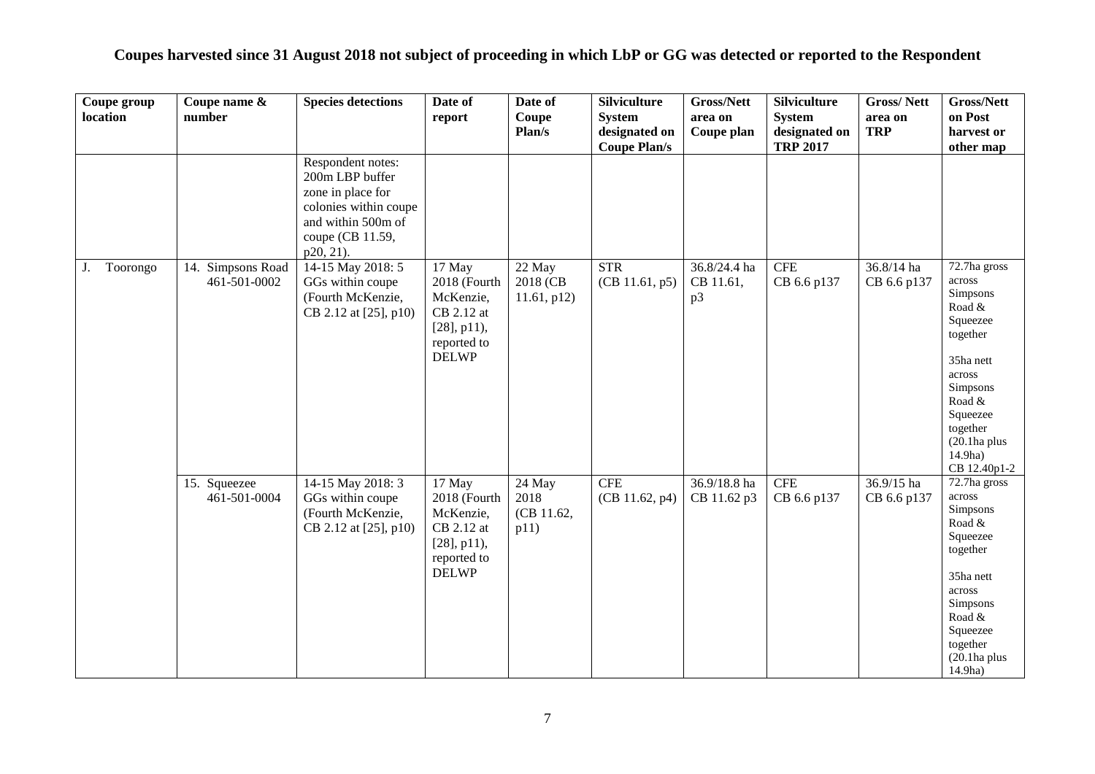| Coupes harvested since 31 August 2018 not subject of proceeding in which LbP or GG was detected or reported to the Respondent |  |  |  |  |  |  |  |  |  |
|-------------------------------------------------------------------------------------------------------------------------------|--|--|--|--|--|--|--|--|--|
|-------------------------------------------------------------------------------------------------------------------------------|--|--|--|--|--|--|--|--|--|

| Coupe group<br>location | Coupe name &<br>number            | <b>Species detections</b>                                                                                                                 | Date of<br>report                                                                                  | Date of<br>Coupe<br>Plan/s              | <b>Silviculture</b><br><b>System</b><br>designated on<br><b>Coupe Plan/s</b> | Gross/Nett<br>area on<br>Coupe plan | <b>Silviculture</b><br><b>System</b><br>designated on<br><b>TRP 2017</b> | <b>Gross/Nett</b><br>area on<br><b>TRP</b> | Gross/Nett<br>on Post<br>harvest or<br>other map                                                                                                                                                    |
|-------------------------|-----------------------------------|-------------------------------------------------------------------------------------------------------------------------------------------|----------------------------------------------------------------------------------------------------|-----------------------------------------|------------------------------------------------------------------------------|-------------------------------------|--------------------------------------------------------------------------|--------------------------------------------|-----------------------------------------------------------------------------------------------------------------------------------------------------------------------------------------------------|
|                         |                                   | Respondent notes:<br>200m LBP buffer<br>zone in place for<br>colonies within coupe<br>and within 500m of<br>coupe (CB 11.59,<br>p20, 21). |                                                                                                    |                                         |                                                                              |                                     |                                                                          |                                            |                                                                                                                                                                                                     |
| Toorongo<br>J.          | 14. Simpsons Road<br>461-501-0002 | 14-15 May 2018: 5<br>GGs within coupe<br>(Fourth McKenzie,<br>CB 2.12 at [25], p10)                                                       | 17 May<br>2018 (Fourth<br>McKenzie,<br>CB 2.12 at<br>$[28]$ , p11),<br>reported to<br><b>DELWP</b> | 22 May<br>2018 (CB<br>$11.61$ , p $12)$ | <b>STR</b><br>(CB 11.61, p5)                                                 | 36.8/24.4 ha<br>CB 11.61,<br>p3     | CFE<br>CB 6.6 p137                                                       | 36.8/14 ha<br>CB 6.6 p137                  | 72.7ha gross<br>across<br>Simpsons<br>Road &<br>Squeezee<br>together<br>35ha nett<br>across<br>Simpsons<br>Road &<br>Squeezee<br>together<br>$(20.1)$ ha plus<br>14.9 <sub>ha</sub><br>CB 12.40p1-2 |
|                         | 15. Squeezee<br>461-501-0004      | 14-15 May 2018: 3<br>GGs within coupe<br>(Fourth McKenzie,<br>CB 2.12 at [25], p10)                                                       | 17 May<br>2018 (Fourth<br>McKenzie,<br>CB 2.12 at<br>$[28]$ , p11),<br>reported to<br><b>DELWP</b> | 24 May<br>2018<br>(CB 11.62,<br>p11)    | ${\rm CFE}$<br>(CB 11.62, p4)                                                | 36.9/18.8 ha<br>CB 11.62 p3         | <b>CFE</b><br>CB 6.6 p137                                                | 36.9/15 ha<br>CB 6.6 p137                  | $72.7$ ha gross<br>across<br>Simpsons<br>Road $\&$<br>Squeezee<br>together<br>35ha nett<br>across<br>Simpsons<br>Road &<br>Squeezee<br>together<br>$(20.1)$ ha plus<br>14.9ha)                      |